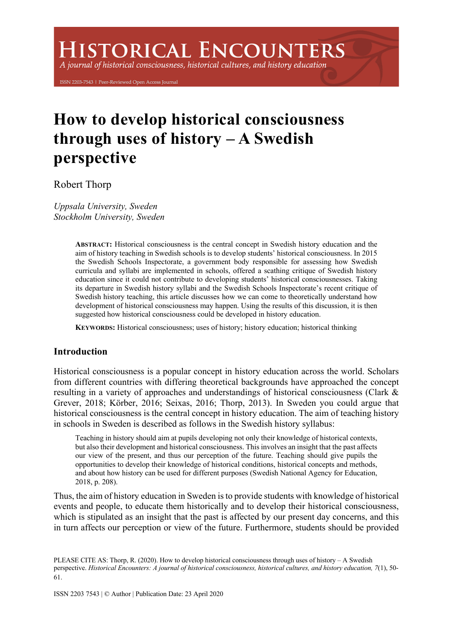# **ISTORICAL ENCOUNTERS**

A journal of historical consciousness, historical cultures, and history education

ISSN 2203-7543 | Peer-Reviewed Open Access Journal

# **How to develop historical consciousness through uses of history – A Swedish perspective**

## Robert Thorp

*Uppsala University, Sweden Stockholm University, Sweden*

> **ABSTRACT:** Historical consciousness is the central concept in Swedish history education and the aim of history teaching in Swedish schools is to develop students' historical consciousness. In 2015 the Swedish Schools Inspectorate, a government body responsible for assessing how Swedish curricula and syllabi are implemented in schools, offered a scathing critique of Swedish history education since it could not contribute to developing students' historical consciousnesses. Taking its departure in Swedish history syllabi and the Swedish Schools Inspectorate's recent critique of Swedish history teaching, this article discusses how we can come to theoretically understand how development of historical consciousness may happen. Using the results of this discussion, it is then suggested how historical consciousness could be developed in history education.

**KEYWORDS:** Historical consciousness; uses of history; history education; historical thinking

### **Introduction**

Historical consciousness is a popular concept in history education across the world. Scholars from different countries with differing theoretical backgrounds have approached the concept resulting in a variety of approaches and understandings of historical consciousness (Clark & Grever, 2018; Körber, 2016; Seixas, 2016; Thorp, 2013). In Sweden you could argue that historical consciousness is the central concept in history education. The aim of teaching history in schools in Sweden is described as follows in the Swedish history syllabus:

Teaching in history should aim at pupils developing not only their knowledge of historical contexts, but also their development and historical consciousness. This involves an insight that the past affects our view of the present, and thus our perception of the future. Teaching should give pupils the opportunities to develop their knowledge of historical conditions, historical concepts and methods, and about how history can be used for different purposes (Swedish National Agency for Education, 2018, p. 208).

Thus, the aim of history education in Sweden is to provide students with knowledge of historical events and people, to educate them historically and to develop their historical consciousness, which is stipulated as an insight that the past is affected by our present day concerns, and this in turn affects our perception or view of the future. Furthermore, students should be provided

PLEASE CITE AS: Thorp, R. (2020). How to develop historical consciousness through uses of history – A Swedish perspective. *Historical Encounters: A journal of historical consciousness, historical cultures, and history education, 7*(1), 50- 61.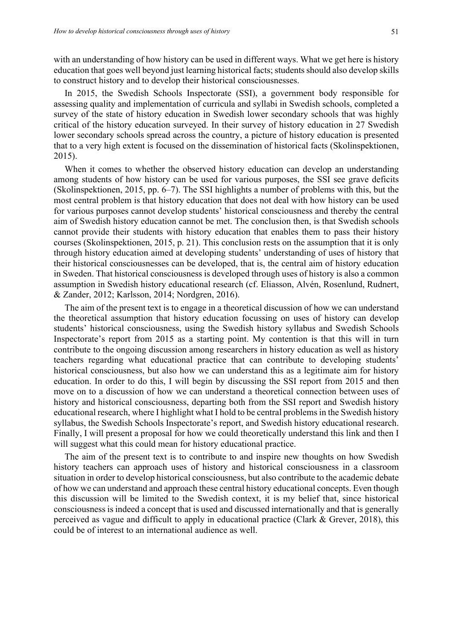with an understanding of how history can be used in different ways. What we get here is history education that goes well beyond just learning historical facts; students should also develop skills to construct history and to develop their historical consciousnesses.

In 2015, the Swedish Schools Inspectorate (SSI), a government body responsible for assessing quality and implementation of curricula and syllabi in Swedish schools, completed a survey of the state of history education in Swedish lower secondary schools that was highly critical of the history education surveyed. In their survey of history education in 27 Swedish lower secondary schools spread across the country, a picture of history education is presented that to a very high extent is focused on the dissemination of historical facts (Skolinspektionen, 2015).

When it comes to whether the observed history education can develop an understanding among students of how history can be used for various purposes, the SSI see grave deficits (Skolinspektionen, 2015, pp. 6–7). The SSI highlights a number of problems with this, but the most central problem is that history education that does not deal with how history can be used for various purposes cannot develop students' historical consciousness and thereby the central aim of Swedish history education cannot be met. The conclusion then, is that Swedish schools cannot provide their students with history education that enables them to pass their history courses (Skolinspektionen, 2015, p. 21). This conclusion rests on the assumption that it is only through history education aimed at developing students' understanding of uses of history that their historical consciousnesses can be developed, that is, the central aim of history education in Sweden. That historical consciousness is developed through uses of history is also a common assumption in Swedish history educational research (cf. Eliasson, Alvén, Rosenlund, Rudnert, & Zander, 2012; Karlsson, 2014; Nordgren, 2016).

The aim of the present text is to engage in a theoretical discussion of how we can understand the theoretical assumption that history education focussing on uses of history can develop students' historical consciousness, using the Swedish history syllabus and Swedish Schools Inspectorate's report from 2015 as a starting point. My contention is that this will in turn contribute to the ongoing discussion among researchers in history education as well as history teachers regarding what educational practice that can contribute to developing students' historical consciousness, but also how we can understand this as a legitimate aim for history education. In order to do this, I will begin by discussing the SSI report from 2015 and then move on to a discussion of how we can understand a theoretical connection between uses of history and historical consciousness, departing both from the SSI report and Swedish history educational research, where I highlight what I hold to be central problems in the Swedish history syllabus, the Swedish Schools Inspectorate's report, and Swedish history educational research. Finally, I will present a proposal for how we could theoretically understand this link and then I will suggest what this could mean for history educational practice.

The aim of the present text is to contribute to and inspire new thoughts on how Swedish history teachers can approach uses of history and historical consciousness in a classroom situation in order to develop historical consciousness, but also contribute to the academic debate of how we can understand and approach these central history educational concepts. Even though this discussion will be limited to the Swedish context, it is my belief that, since historical consciousness is indeed a concept that is used and discussed internationally and that is generally perceived as vague and difficult to apply in educational practice (Clark & Grever, 2018), this could be of interest to an international audience as well.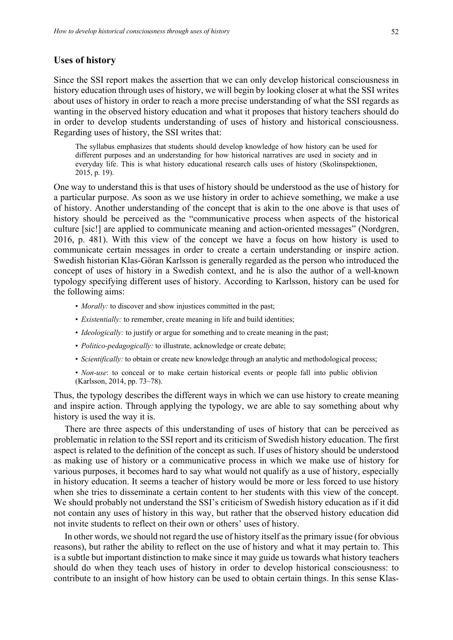#### **Uses of history**

Since the SSI report makes the assertion that we can only develop historical consciousness in history education through uses of history, we will begin by looking closer at what the SSI writes about uses of history in order to reach a more precise understanding of what the SSI regards as wanting in the observed history education and what it proposes that history teachers should do in order to develop students understanding of uses of history and historical consciousness. Regarding uses of history, the SSI writes that:

The syllabus emphasizes that students should develop knowledge of how history can be used for different purposes and an understanding for how historical narratives are used in society and in everyday life. This is what history educational research calls uses of history (Skolinspektionen, 2015, p. 19).

One way to understand this is that uses of history should be understood as the use of history for a particular purpose. As soon as we use history in order to achieve something, we make a use of history. Another understanding of the concept that is akin to the one above is that uses of history should be perceived as the "communicative process when aspects of the historical culture [sic!] are applied to communicate meaning and action-oriented messages" (Nordgren, 2016, p. 481). With this view of the concept we have a focus on how history is used to communicate certain messages in order to create a certain understanding or inspire action. Swedish historian Klas-Göran Karlsson is generally regarded as the person who introduced the concept of uses of history in a Swedish context, and he is also the author of a well-known typology specifying different uses of history. According to Karlsson, history can be used for the following aims:

- *Morally:* to discover and show injustices committed in the past;
- *Existentially:* to remember, create meaning in life and build identities;
- *Ideologically:* to justify or argue for something and to create meaning in the past;
- *Politico-pedagogically:* to illustrate, acknowledge or create debate;
- *Scientifically:* to obtain or create new knowledge through an analytic and methodological process;
- *Non-use*: to conceal or to make certain historical events or people fall into public oblivion (Karlsson, 2014, pp. 73–78).

Thus, the typology describes the different ways in which we can use history to create meaning and inspire action. Through applying the typology, we are able to say something about why history is used the way it is.

There are three aspects of this understanding of uses of history that can be perceived as problematic in relation to the SSI report and its criticism of Swedish history education. The first aspect is related to the definition of the concept as such. If uses of history should be understood as making use of history or a communicative process in which we make use of history for various purposes, it becomes hard to say what would not qualify as a use of history, especially in history education. It seems a teacher of history would be more or less forced to use history when she tries to disseminate a certain content to her students with this view of the concept. We should probably not understand the SSI's criticism of Swedish history education as if it did not contain any uses of history in this way, but rather that the observed history education did not invite students to reflect on their own or others' uses of history.

In other words, we should not regard the use of history itself as the primary issue (for obvious reasons), but rather the ability to reflect on the use of history and what it may pertain to. This is a subtle but important distinction to make since it may guide us towards what history teachers should do when they teach uses of history in order to develop historical consciousness: to contribute to an insight of how history can be used to obtain certain things. In this sense Klas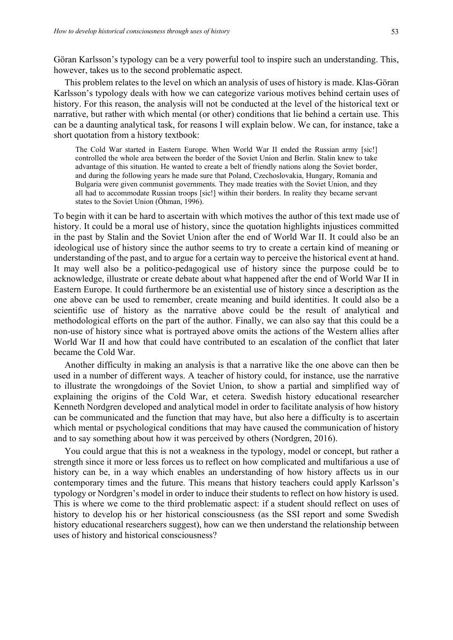Göran Karlsson's typology can be a very powerful tool to inspire such an understanding. This, however, takes us to the second problematic aspect.

This problem relates to the level on which an analysis of uses of history is made. Klas-Göran Karlsson's typology deals with how we can categorize various motives behind certain uses of history. For this reason, the analysis will not be conducted at the level of the historical text or narrative, but rather with which mental (or other) conditions that lie behind a certain use. This can be a daunting analytical task, for reasons I will explain below. We can, for instance, take a short quotation from a history textbook:

The Cold War started in Eastern Europe. When World War II ended the Russian army [sic!] controlled the whole area between the border of the Soviet Union and Berlin. Stalin knew to take advantage of this situation. He wanted to create a belt of friendly nations along the Soviet border, and during the following years he made sure that Poland, Czechoslovakia, Hungary, Romania and Bulgaria were given communist governments. They made treaties with the Soviet Union, and they all had to accommodate Russian troops [sic!] within their borders. In reality they became servant states to the Soviet Union (Öhman, 1996).

To begin with it can be hard to ascertain with which motives the author of this text made use of history. It could be a moral use of history, since the quotation highlights injustices committed in the past by Stalin and the Soviet Union after the end of World War II. It could also be an ideological use of history since the author seems to try to create a certain kind of meaning or understanding of the past, and to argue for a certain way to perceive the historical event at hand. It may well also be a politico-pedagogical use of history since the purpose could be to acknowledge, illustrate or create debate about what happened after the end of World War II in Eastern Europe. It could furthermore be an existential use of history since a description as the one above can be used to remember, create meaning and build identities. It could also be a scientific use of history as the narrative above could be the result of analytical and methodological efforts on the part of the author. Finally, we can also say that this could be a non-use of history since what is portrayed above omits the actions of the Western allies after World War II and how that could have contributed to an escalation of the conflict that later became the Cold War.

Another difficulty in making an analysis is that a narrative like the one above can then be used in a number of different ways. A teacher of history could, for instance, use the narrative to illustrate the wrongdoings of the Soviet Union, to show a partial and simplified way of explaining the origins of the Cold War, et cetera. Swedish history educational researcher Kenneth Nordgren developed and analytical model in order to facilitate analysis of how history can be communicated and the function that may have, but also here a difficulty is to ascertain which mental or psychological conditions that may have caused the communication of history and to say something about how it was perceived by others (Nordgren, 2016).

You could argue that this is not a weakness in the typology, model or concept, but rather a strength since it more or less forces us to reflect on how complicated and multifarious a use of history can be, in a way which enables an understanding of how history affects us in our contemporary times and the future. This means that history teachers could apply Karlsson's typology or Nordgren's model in order to induce their students to reflect on how history is used. This is where we come to the third problematic aspect: if a student should reflect on uses of history to develop his or her historical consciousness (as the SSI report and some Swedish history educational researchers suggest), how can we then understand the relationship between uses of history and historical consciousness?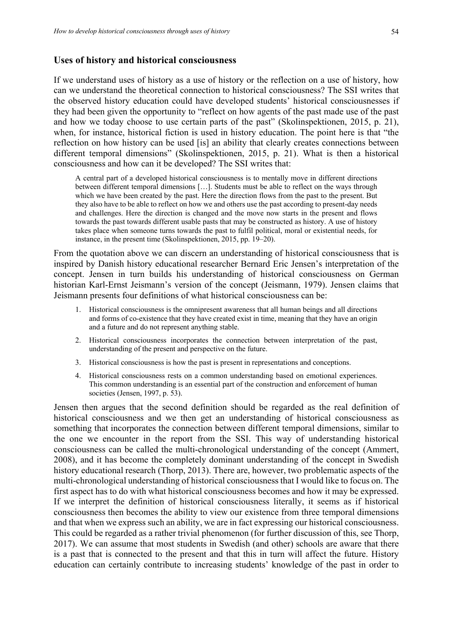#### **Uses of history and historical consciousness**

If we understand uses of history as a use of history or the reflection on a use of history, how can we understand the theoretical connection to historical consciousness? The SSI writes that the observed history education could have developed students' historical consciousnesses if they had been given the opportunity to "reflect on how agents of the past made use of the past and how we today choose to use certain parts of the past" (Skolinspektionen, 2015, p. 21), when, for instance, historical fiction is used in history education. The point here is that "the reflection on how history can be used [is] an ability that clearly creates connections between different temporal dimensions" (Skolinspektionen, 2015, p. 21). What is then a historical consciousness and how can it be developed? The SSI writes that:

A central part of a developed historical consciousness is to mentally move in different directions between different temporal dimensions […]. Students must be able to reflect on the ways through which we have been created by the past. Here the direction flows from the past to the present. But they also have to be able to reflect on how we and others use the past according to present-day needs and challenges. Here the direction is changed and the move now starts in the present and flows towards the past towards different usable pasts that may be constructed as history. A use of history takes place when someone turns towards the past to fulfil political, moral or existential needs, for instance, in the present time (Skolinspektionen, 2015, pp. 19–20).

From the quotation above we can discern an understanding of historical consciousness that is inspired by Danish history educational researcher Bernard Eric Jensen's interpretation of the concept. Jensen in turn builds his understanding of historical consciousness on German historian Karl-Ernst Jeismann's version of the concept (Jeismann, 1979). Jensen claims that Jeismann presents four definitions of what historical consciousness can be:

- 1. Historical consciousness is the omnipresent awareness that all human beings and all directions and forms of co-existence that they have created exist in time, meaning that they have an origin and a future and do not represent anything stable.
- 2. Historical consciousness incorporates the connection between interpretation of the past, understanding of the present and perspective on the future.
- 3. Historical consciousness is how the past is present in representations and conceptions.
- 4. Historical consciousness rests on a common understanding based on emotional experiences. This common understanding is an essential part of the construction and enforcement of human societies (Jensen, 1997, p. 53).

Jensen then argues that the second definition should be regarded as the real definition of historical consciousness and we then get an understanding of historical consciousness as something that incorporates the connection between different temporal dimensions, similar to the one we encounter in the report from the SSI. This way of understanding historical consciousness can be called the multi-chronological understanding of the concept (Ammert, 2008), and it has become the completely dominant understanding of the concept in Swedish history educational research (Thorp, 2013). There are, however, two problematic aspects of the multi-chronological understanding of historical consciousness that I would like to focus on. The first aspect has to do with what historical consciousness becomes and how it may be expressed. If we interpret the definition of historical consciousness literally, it seems as if historical consciousness then becomes the ability to view our existence from three temporal dimensions and that when we express such an ability, we are in fact expressing our historical consciousness. This could be regarded as a rather trivial phenomenon (for further discussion of this, see Thorp, 2017). We can assume that most students in Swedish (and other) schools are aware that there is a past that is connected to the present and that this in turn will affect the future. History education can certainly contribute to increasing students' knowledge of the past in order to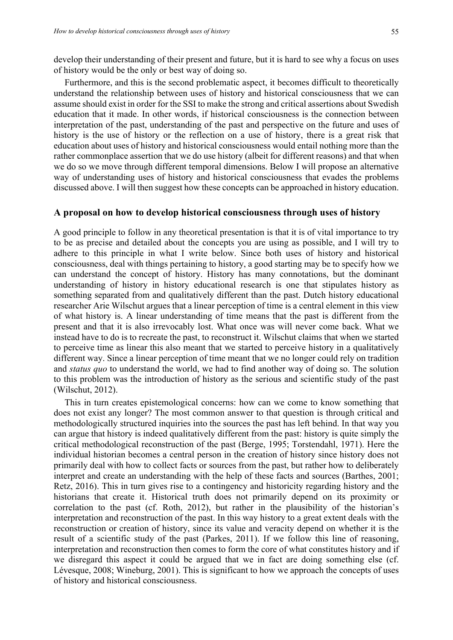develop their understanding of their present and future, but it is hard to see why a focus on uses of history would be the only or best way of doing so.

Furthermore, and this is the second problematic aspect, it becomes difficult to theoretically understand the relationship between uses of history and historical consciousness that we can assume should exist in order for the SSI to make the strong and critical assertions about Swedish education that it made. In other words, if historical consciousness is the connection between interpretation of the past, understanding of the past and perspective on the future and uses of history is the use of history or the reflection on a use of history, there is a great risk that education about uses of history and historical consciousness would entail nothing more than the rather commonplace assertion that we do use history (albeit for different reasons) and that when we do so we move through different temporal dimensions. Below I will propose an alternative way of understanding uses of history and historical consciousness that evades the problems discussed above. I will then suggest how these concepts can be approached in history education.

#### **A proposal on how to develop historical consciousness through uses of history**

A good principle to follow in any theoretical presentation is that it is of vital importance to try to be as precise and detailed about the concepts you are using as possible, and I will try to adhere to this principle in what I write below. Since both uses of history and historical consciousness, deal with things pertaining to history, a good starting may be to specify how we can understand the concept of history. History has many connotations, but the dominant understanding of history in history educational research is one that stipulates history as something separated from and qualitatively different than the past. Dutch history educational researcher Arie Wilschut argues that a linear perception of time is a central element in this view of what history is. A linear understanding of time means that the past is different from the present and that it is also irrevocably lost. What once was will never come back. What we instead have to do is to recreate the past, to reconstruct it. Wilschut claims that when we started to perceive time as linear this also meant that we started to perceive history in a qualitatively different way. Since a linear perception of time meant that we no longer could rely on tradition and *status quo* to understand the world, we had to find another way of doing so. The solution to this problem was the introduction of history as the serious and scientific study of the past (Wilschut, 2012).

This in turn creates epistemological concerns: how can we come to know something that does not exist any longer? The most common answer to that question is through critical and methodologically structured inquiries into the sources the past has left behind. In that way you can argue that history is indeed qualitatively different from the past: history is quite simply the critical methodological reconstruction of the past (Berge, 1995; Torstendahl, 1971). Here the individual historian becomes a central person in the creation of history since history does not primarily deal with how to collect facts or sources from the past, but rather how to deliberately interpret and create an understanding with the help of these facts and sources (Barthes, 2001; Retz, 2016). This in turn gives rise to a contingency and historicity regarding history and the historians that create it. Historical truth does not primarily depend on its proximity or correlation to the past (cf. Roth, 2012), but rather in the plausibility of the historian's interpretation and reconstruction of the past. In this way history to a great extent deals with the reconstruction or creation of history, since its value and veracity depend on whether it is the result of a scientific study of the past (Parkes, 2011). If we follow this line of reasoning, interpretation and reconstruction then comes to form the core of what constitutes history and if we disregard this aspect it could be argued that we in fact are doing something else (cf. Lévesque, 2008; Wineburg, 2001). This is significant to how we approach the concepts of uses of history and historical consciousness.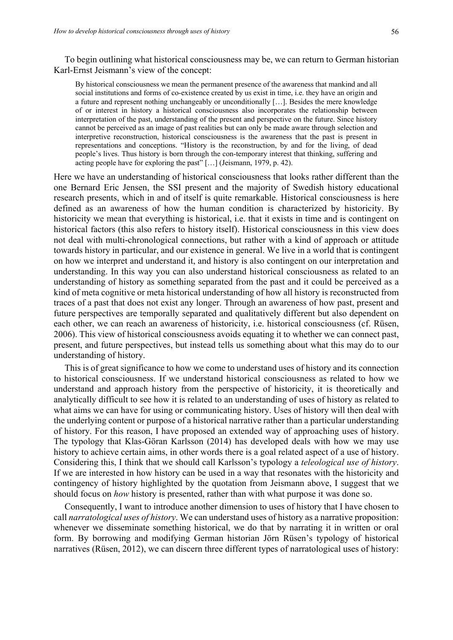To begin outlining what historical consciousness may be, we can return to German historian Karl-Ernst Jeismann's view of the concept:

By historical consciousness we mean the permanent presence of the awareness that mankind and all social institutions and forms of co-existence created by us exist in time, i.e. they have an origin and a future and represent nothing unchangeably or unconditionally […]. Besides the mere knowledge of or interest in history a historical consciousness also incorporates the relationship between interpretation of the past, understanding of the present and perspective on the future. Since history cannot be perceived as an image of past realities but can only be made aware through selection and interpretive reconstruction, historical consciousness is the awareness that the past is present in representations and conceptions. "History is the reconstruction, by and for the living, of dead people's lives. Thus history is born through the con-temporary interest that thinking, suffering and acting people have for exploring the past" […] (Jeismann, 1979, p. 42).

Here we have an understanding of historical consciousness that looks rather different than the one Bernard Eric Jensen, the SSI present and the majority of Swedish history educational research presents, which in and of itself is quite remarkable. Historical consciousness is here defined as an awareness of how the human condition is characterized by historicity. By historicity we mean that everything is historical, i.e. that it exists in time and is contingent on historical factors (this also refers to history itself). Historical consciousness in this view does not deal with multi-chronological connections, but rather with a kind of approach or attitude towards history in particular, and our existence in general. We live in a world that is contingent on how we interpret and understand it, and history is also contingent on our interpretation and understanding. In this way you can also understand historical consciousness as related to an understanding of history as something separated from the past and it could be perceived as a kind of meta cognitive or meta historical understanding of how all history is reconstructed from traces of a past that does not exist any longer. Through an awareness of how past, present and future perspectives are temporally separated and qualitatively different but also dependent on each other, we can reach an awareness of historicity, i.e. historical consciousness (cf. Rüsen, 2006). This view of historical consciousness avoids equating it to whether we can connect past, present, and future perspectives, but instead tells us something about what this may do to our understanding of history.

This is of great significance to how we come to understand uses of history and its connection to historical consciousness. If we understand historical consciousness as related to how we understand and approach history from the perspective of historicity, it is theoretically and analytically difficult to see how it is related to an understanding of uses of history as related to what aims we can have for using or communicating history. Uses of history will then deal with the underlying content or purpose of a historical narrative rather than a particular understanding of history. For this reason, I have proposed an extended way of approaching uses of history. The typology that Klas-Göran Karlsson (2014) has developed deals with how we may use history to achieve certain aims, in other words there is a goal related aspect of a use of history. Considering this, I think that we should call Karlsson's typology a *teleological use of history*. If we are interested in how history can be used in a way that resonates with the historicity and contingency of history highlighted by the quotation from Jeismann above, I suggest that we should focus on *how* history is presented, rather than with what purpose it was done so.

Consequently, I want to introduce another dimension to uses of history that I have chosen to call *narratological uses of history*. We can understand uses of history as a narrative proposition: whenever we disseminate something historical, we do that by narrating it in written or oral form. By borrowing and modifying German historian Jörn Rüsen's typology of historical narratives (Rüsen, 2012), we can discern three different types of narratological uses of history: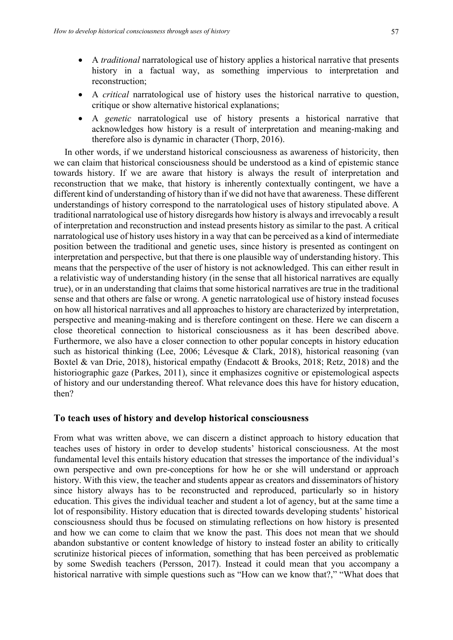- A *traditional* narratological use of history applies a historical narrative that presents history in a factual way, as something impervious to interpretation and reconstruction;
- A *critical* narratological use of history uses the historical narrative to question, critique or show alternative historical explanations;
- A *genetic* narratological use of history presents a historical narrative that acknowledges how history is a result of interpretation and meaning-making and therefore also is dynamic in character (Thorp, 2016).

In other words, if we understand historical consciousness as awareness of historicity, then we can claim that historical consciousness should be understood as a kind of epistemic stance towards history. If we are aware that history is always the result of interpretation and reconstruction that we make, that history is inherently contextually contingent, we have a different kind of understanding of history than if we did not have that awareness. These different understandings of history correspond to the narratological uses of history stipulated above. A traditional narratological use of history disregards how history is always and irrevocably a result of interpretation and reconstruction and instead presents history as similar to the past. A critical narratological use of history uses history in a way that can be perceived as a kind of intermediate position between the traditional and genetic uses, since history is presented as contingent on interpretation and perspective, but that there is one plausible way of understanding history. This means that the perspective of the user of history is not acknowledged. This can either result in a relativistic way of understanding history (in the sense that all historical narratives are equally true), or in an understanding that claims that some historical narratives are true in the traditional sense and that others are false or wrong. A genetic narratological use of history instead focuses on how all historical narratives and all approaches to history are characterized by interpretation, perspective and meaning-making and is therefore contingent on these. Here we can discern a close theoretical connection to historical consciousness as it has been described above. Furthermore, we also have a closer connection to other popular concepts in history education such as historical thinking (Lee, 2006; Lévesque & Clark, 2018), historical reasoning (van Boxtel & van Drie, 2018), historical empathy (Endacott & Brooks, 2018; Retz, 2018) and the historiographic gaze (Parkes, 2011), since it emphasizes cognitive or epistemological aspects of history and our understanding thereof. What relevance does this have for history education, then?

#### **To teach uses of history and develop historical consciousness**

From what was written above, we can discern a distinct approach to history education that teaches uses of history in order to develop students' historical consciousness. At the most fundamental level this entails history education that stresses the importance of the individual's own perspective and own pre-conceptions for how he or she will understand or approach history. With this view, the teacher and students appear as creators and disseminators of history since history always has to be reconstructed and reproduced, particularly so in history education. This gives the individual teacher and student a lot of agency, but at the same time a lot of responsibility. History education that is directed towards developing students' historical consciousness should thus be focused on stimulating reflections on how history is presented and how we can come to claim that we know the past. This does not mean that we should abandon substantive or content knowledge of history to instead foster an ability to critically scrutinize historical pieces of information, something that has been perceived as problematic by some Swedish teachers (Persson, 2017). Instead it could mean that you accompany a historical narrative with simple questions such as "How can we know that?," "What does that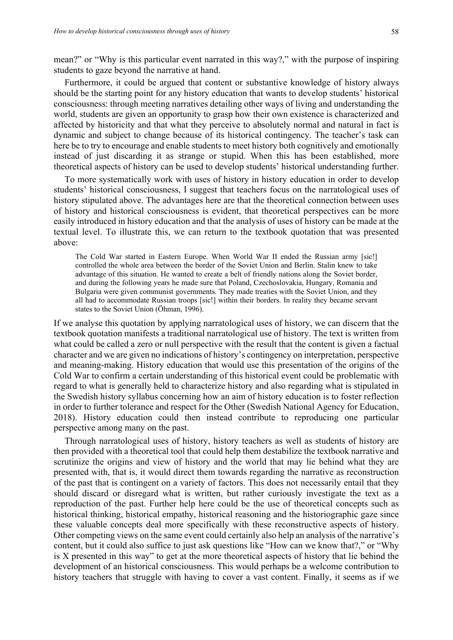mean?" or "Why is this particular event narrated in this way?," with the purpose of inspiring students to gaze beyond the narrative at hand.

Furthermore, it could be argued that content or substantive knowledge of history always should be the starting point for any history education that wants to develop students' historical consciousness: through meeting narratives detailing other ways of living and understanding the world, students are given an opportunity to grasp how their own existence is characterized and affected by historicity and that what they perceive to absolutely normal and natural in fact is dynamic and subject to change because of its historical contingency. The teacher's task can here be to try to encourage and enable students to meet history both cognitively and emotionally instead of just discarding it as strange or stupid. When this has been established, more theoretical aspects of history can be used to develop students' historical understanding further.

To more systematically work with uses of history in history education in order to develop students' historical consciousness, I suggest that teachers focus on the narratological uses of history stipulated above. The advantages here are that the theoretical connection between uses of history and historical consciousness is evident, that theoretical perspectives can be more easily introduced in history education and that the analysis of uses of history can be made at the textual level. To illustrate this, we can return to the textbook quotation that was presented above:

The Cold War started in Eastern Europe. When World War II ended the Russian army [sic!] controlled the whole area between the border of the Soviet Union and Berlin. Stalin knew to take advantage of this situation. He wanted to create a belt of friendly nations along the Soviet border, and during the following years he made sure that Poland, Czechoslovakia, Hungary, Romania and Bulgaria were given communist governments. They made treaties with the Soviet Union, and they all had to accommodate Russian troops [sic!] within their borders. In reality they became servant states to the Soviet Union (Öhman, 1996).

If we analyse this quotation by applying narratological uses of history, we can discern that the textbook quotation manifests a traditional narratological use of history. The text is written from what could be called a zero or null perspective with the result that the content is given a factual character and we are given no indications of history's contingency on interpretation, perspective and meaning-making. History education that would use this presentation of the origins of the Cold War to confirm a certain understanding of this historical event could be problematic with regard to what is generally held to characterize history and also regarding what is stipulated in the Swedish history syllabus concerning how an aim of history education is to foster reflection in order to further tolerance and respect for the Other (Swedish National Agency for Education, 2018). History education could then instead contribute to reproducing one particular perspective among many on the past.

Through narratological uses of history, history teachers as well as students of history are then provided with a theoretical tool that could help them destabilize the textbook narrative and scrutinize the origins and view of history and the world that may lie behind what they are presented with, that is, it would direct them towards regarding the narrative as reconstruction of the past that is contingent on a variety of factors. This does not necessarily entail that they should discard or disregard what is written, but rather curiously investigate the text as a reproduction of the past. Further help here could be the use of theoretical concepts such as historical thinking, historical empathy, historical reasoning and the historiographic gaze since these valuable concepts deal more specifically with these reconstructive aspects of history. Other competing views on the same event could certainly also help an analysis of the narrative's content, but it could also suffice to just ask questions like "How can we know that?," or "Why is X presented in this way" to get at the more theoretical aspects of history that lie behind the development of an historical consciousness. This would perhaps be a welcome contribution to history teachers that struggle with having to cover a vast content. Finally, it seems as if we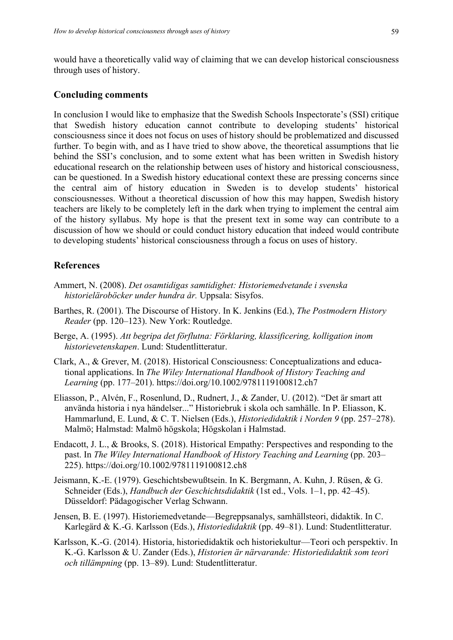would have a theoretically valid way of claiming that we can develop historical consciousness through uses of history.

#### **Concluding comments**

In conclusion I would like to emphasize that the Swedish Schools Inspectorate's (SSI) critique that Swedish history education cannot contribute to developing students' historical consciousness since it does not focus on uses of history should be problematized and discussed further. To begin with, and as I have tried to show above, the theoretical assumptions that lie behind the SSI's conclusion, and to some extent what has been written in Swedish history educational research on the relationship between uses of history and historical consciousness, can be questioned. In a Swedish history educational context these are pressing concerns since the central aim of history education in Sweden is to develop students' historical consciousnesses. Without a theoretical discussion of how this may happen, Swedish history teachers are likely to be completely left in the dark when trying to implement the central aim of the history syllabus. My hope is that the present text in some way can contribute to a discussion of how we should or could conduct history education that indeed would contribute to developing students' historical consciousness through a focus on uses of history.

#### **References**

- Ammert, N. (2008). *Det osamtidigas samtidighet: Historiemedvetande i svenska historieläroböcker under hundra år.* Uppsala: Sisyfos.
- Barthes, R. (2001). The Discourse of History. In K. Jenkins (Ed.), *The Postmodern History Reader* (pp. 120–123). New York: Routledge.
- Berge, A. (1995). *Att begripa det förflutna: Förklaring, klassificering, kolligation inom historievetenskapen*. Lund: Studentlitteratur.
- Clark, A., & Grever, M. (2018). Historical Consciousness: Conceptualizations and educational applications. In *The Wiley International Handbook of History Teaching and Learning* (pp. 177–201). https://doi.org/10.1002/9781119100812.ch7
- Eliasson, P., Alvén, F., Rosenlund, D., Rudnert, J., & Zander, U. (2012). "Det är smart att använda historia i nya händelser..." Historiebruk i skola och samhälle. In P. Eliasson, K. Hammarlund, E. Lund, & C. T. Nielsen (Eds.), *Historiedidaktik i Norden 9* (pp. 257–278). Malmö; Halmstad: Malmö högskola; Högskolan i Halmstad.
- Endacott, J. L., & Brooks, S. (2018). Historical Empathy: Perspectives and responding to the past. In *The Wiley International Handbook of History Teaching and Learning* (pp. 203– 225). https://doi.org/10.1002/9781119100812.ch8
- Jeismann, K.-E. (1979). Geschichtsbewußtsein. In K. Bergmann, A. Kuhn, J. Rüsen, & G. Schneider (Eds.), *Handbuch der Geschichtsdidaktik* (1st ed., Vols. 1–1, pp. 42–45). Düsseldorf: Pädagogischer Verlag Schwann.
- Jensen, B. E. (1997). Historiemedvetande—Begreppsanalys, samhällsteori, didaktik. In C. Karlegärd & K.-G. Karlsson (Eds.), *Historiedidaktik* (pp. 49–81). Lund: Studentlitteratur.
- Karlsson, K.-G. (2014). Historia, historiedidaktik och historiekultur—Teori och perspektiv. In K.-G. Karlsson & U. Zander (Eds.), *Historien är närvarande: Historiedidaktik som teori och tillämpning* (pp. 13–89). Lund: Studentlitteratur.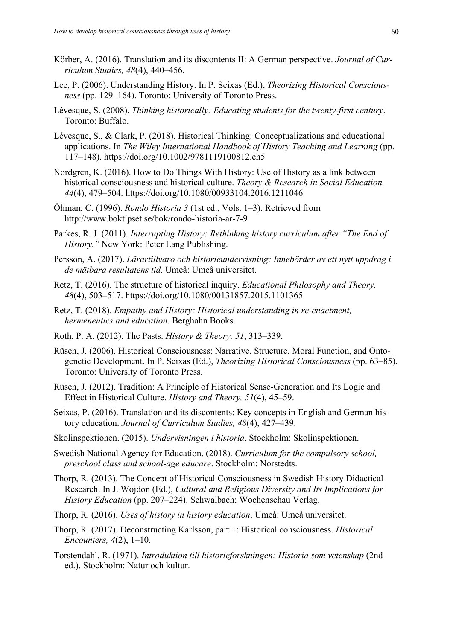- Körber, A. (2016). Translation and its discontents II: A German perspective. *Journal of Curriculum Studies, 48*(4), 440–456.
- Lee, P. (2006). Understanding History. In P. Seixas (Ed.), *Theorizing Historical Consciousness* (pp. 129–164). Toronto: University of Toronto Press.
- Lévesque, S. (2008). *Thinking historically: Educating students for the twenty-first century*. Toronto: Buffalo.
- Lévesque, S., & Clark, P. (2018). Historical Thinking: Conceptualizations and educational applications. In *The Wiley International Handbook of History Teaching and Learning* (pp. 117–148). https://doi.org/10.1002/9781119100812.ch5
- Nordgren, K. (2016). How to Do Things With History: Use of History as a link between historical consciousness and historical culture. *Theory & Research in Social Education, 44*(4), 479–504. https://doi.org/10.1080/00933104.2016.1211046
- Öhman, C. (1996). *Rondo Historia 3* (1st ed., Vols. 1–3). Retrieved from http://www.boktipset.se/bok/rondo-historia-ar-7-9
- Parkes, R. J. (2011). *Interrupting History: Rethinking history curriculum after "The End of History."* New York: Peter Lang Publishing.
- Persson, A. (2017). *Lärartillvaro och historieundervisning: Innebörder av ett nytt uppdrag i de mätbara resultatens tid*. Umeå: Umeå universitet.
- Retz, T. (2016). The structure of historical inquiry. *Educational Philosophy and Theory, 48*(4), 503–517. https://doi.org/10.1080/00131857.2015.1101365
- Retz, T. (2018). *Empathy and History: Historical understanding in re-enactment, hermeneutics and education*. Berghahn Books.
- Roth, P. A. (2012). The Pasts. *History & Theory, 51*, 313–339.
- Rüsen, J. (2006). Historical Consciousness: Narrative, Structure, Moral Function, and Ontogenetic Development. In P. Seixas (Ed.), *Theorizing Historical Consciousness* (pp. 63–85). Toronto: University of Toronto Press.
- Rüsen, J. (2012). Tradition: A Principle of Historical Sense-Generation and Its Logic and Effect in Historical Culture. *History and Theory, 51*(4), 45–59.
- Seixas, P. (2016). Translation and its discontents: Key concepts in English and German history education. *Journal of Curriculum Studies, 48*(4), 427–439.
- Skolinspektionen. (2015). *Undervisningen i historia*. Stockholm: Skolinspektionen.
- Swedish National Agency for Education. (2018). *Curriculum for the compulsory school, preschool class and school-age educare*. Stockholm: Norstedts.
- Thorp, R. (2013). The Concept of Historical Consciousness in Swedish History Didactical Research. In J. Wojdon (Ed.), *Cultural and Religious Diversity and Its Implications for History Education* (pp. 207–224). Schwalbach: Wochenschau Verlag.
- Thorp, R. (2016). *Uses of history in history education*. Umeå: Umeå universitet.
- Thorp, R. (2017). Deconstructing Karlsson, part 1: Historical consciousness. *Historical Encounters, 4*(2), 1–10.
- Torstendahl, R. (1971). *Introduktion till historieforskningen: Historia som vetenskap* (2nd ed.). Stockholm: Natur och kultur.